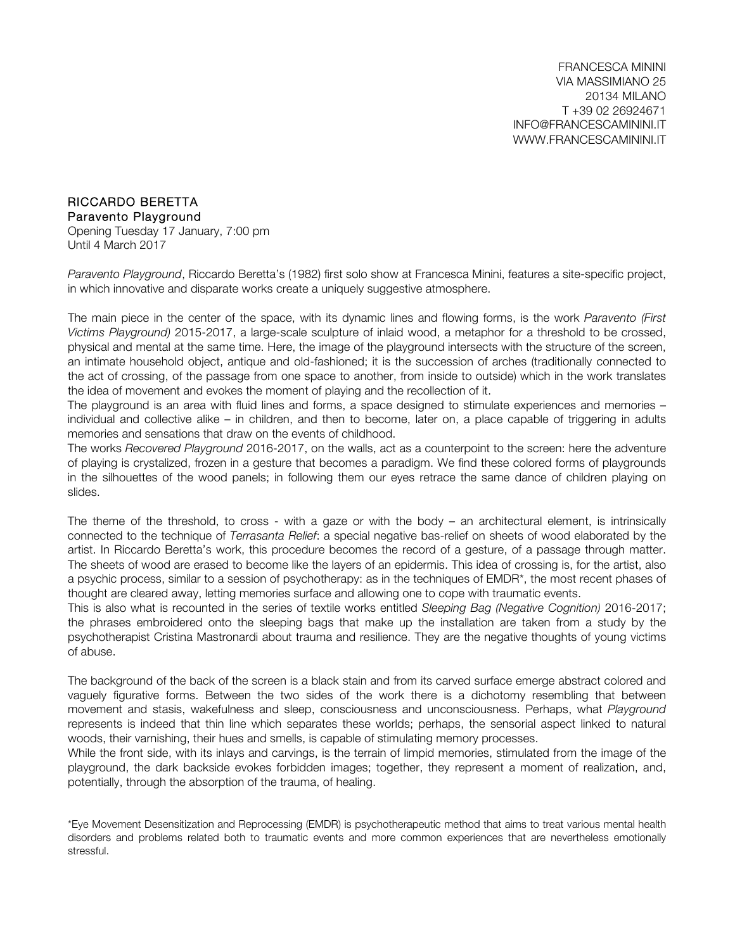FRANCESCA MININI VIA MASSIMIANO 25 20134 MILANO T +39 02 26924671 INFO@FRANCESCAMININI.IT WWW.FRANCESCAMININI.IT

## RICCARDO BERETTA Paravento Playground

Opening Tuesday 17 January, 7:00 pm Until 4 March 2017

*Paravento Playground*, Riccardo Beretta's (1982) first solo show at Francesca Minini, features a site-specific project, in which innovative and disparate works create a uniquely suggestive atmosphere.

The main piece in the center of the space, with its dynamic lines and flowing forms, is the work *Paravento (First Victims Playground)* 2015-2017, a large-scale sculpture of inlaid wood, a metaphor for a threshold to be crossed, physical and mental at the same time. Here, the image of the playground intersects with the structure of the screen, an intimate household object, antique and old-fashioned; it is the succession of arches (traditionally connected to the act of crossing, of the passage from one space to another, from inside to outside) which in the work translates the idea of movement and evokes the moment of playing and the recollection of it.

The playground is an area with fluid lines and forms, a space designed to stimulate experiences and memories – individual and collective alike – in children, and then to become, later on, a place capable of triggering in adults memories and sensations that draw on the events of childhood.

The works *Recovered Playground* 2016-2017, on the walls, act as a counterpoint to the screen: here the adventure of playing is crystalized, frozen in a gesture that becomes a paradigm. We find these colored forms of playgrounds in the silhouettes of the wood panels; in following them our eyes retrace the same dance of children playing on slides.

The theme of the threshold, to cross - with a gaze or with the body – an architectural element, is intrinsically connected to the technique of *Terrasanta Relief*: a special negative bas-relief on sheets of wood elaborated by the artist. In Riccardo Beretta's work, this procedure becomes the record of a gesture, of a passage through matter. The sheets of wood are erased to become like the layers of an epidermis. This idea of crossing is, for the artist, also a psychic process, similar to a session of psychotherapy: as in the techniques of EMDR\*, the most recent phases of thought are cleared away, letting memories surface and allowing one to cope with traumatic events.

This is also what is recounted in the series of textile works entitled *Sleeping Bag (Negative Cognition)* 2016-2017; the phrases embroidered onto the sleeping bags that make up the installation are taken from a study by the psychotherapist Cristina Mastronardi about trauma and resilience. They are the negative thoughts of young victims of abuse.

The background of the back of the screen is a black stain and from its carved surface emerge abstract colored and vaguely figurative forms. Between the two sides of the work there is a dichotomy resembling that between movement and stasis, wakefulness and sleep, consciousness and unconsciousness. Perhaps, what *Playground* represents is indeed that thin line which separates these worlds; perhaps, the sensorial aspect linked to natural woods, their varnishing, their hues and smells, is capable of stimulating memory processes.

While the front side, with its inlays and carvings, is the terrain of limpid memories, stimulated from the image of the playground, the dark backside evokes forbidden images; together, they represent a moment of realization, and, potentially, through the absorption of the trauma, of healing.

\*Eye Movement Desensitization and Reprocessing (EMDR) is psychotherapeutic method that aims to treat various mental health disorders and problems related both to traumatic events and more common experiences that are nevertheless emotionally stressful.